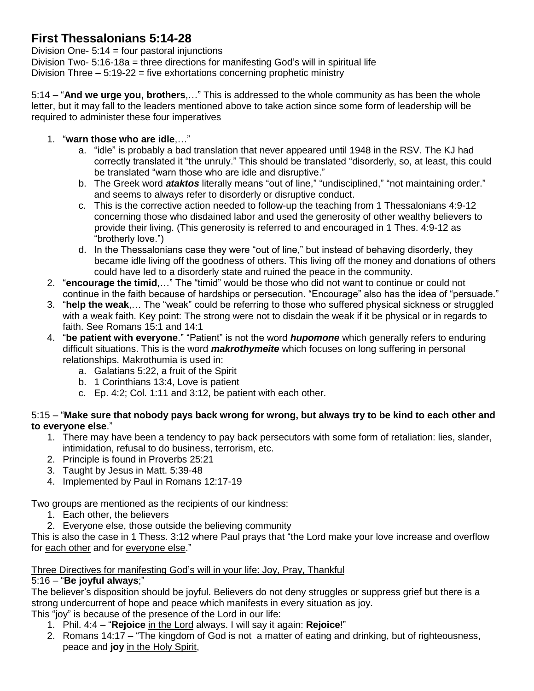# **First Thessalonians 5:14-28**

Division One- $5:14 =$  four pastoral injunctions Division Two- 5:16-18a = three directions for manifesting God's will in spiritual life Division Three – 5:19-22 = five exhortations concerning prophetic ministry

5:14 – "**And we urge you, brothers**,…" This is addressed to the whole community as has been the whole letter, but it may fall to the leaders mentioned above to take action since some form of leadership will be required to administer these four imperatives

- 1. "**warn those who are idle**,…"
	- a. "idle" is probably a bad translation that never appeared until 1948 in the RSV. The KJ had correctly translated it "the unruly." This should be translated "disorderly, so, at least, this could be translated "warn those who are idle and disruptive."
	- b. The Greek word *ataktos* literally means "out of line," "undisciplined," "not maintaining order." and seems to always refer to disorderly or disruptive conduct.
	- c. This is the corrective action needed to follow-up the teaching from 1 Thessalonians 4:9-12 concerning those who disdained labor and used the generosity of other wealthy believers to provide their living. (This generosity is referred to and encouraged in 1 Thes. 4:9-12 as "brotherly love.")
	- d. In the Thessalonians case they were "out of line," but instead of behaving disorderly, they became idle living off the goodness of others. This living off the money and donations of others could have led to a disorderly state and ruined the peace in the community.
- 2. "**encourage the timid**,…" The "timid" would be those who did not want to continue or could not continue in the faith because of hardships or persecution. "Encourage" also has the idea of "persuade."
- 3. "**help the weak**,… The "weak" could be referring to those who suffered physical sickness or struggled with a weak faith. Key point: The strong were not to disdain the weak if it be physical or in regards to faith. See Romans 15:1 and 14:1
- 4. "**be patient with everyone**." "Patient" is not the word *hupomone* which generally refers to enduring difficult situations. This is the word *makrothymeite* which focuses on long suffering in personal relationships. Makrothumia is used in:
	- a. Galatians 5:22, a fruit of the Spirit
	- b. 1 Corinthians 13:4, Love is patient
	- c. Ep. 4:2; Col. 1:11 and 3:12, be patient with each other.

#### 5:15 – "**Make sure that nobody pays back wrong for wrong, but always try to be kind to each other and to everyone else**."

- 1. There may have been a tendency to pay back persecutors with some form of retaliation: lies, slander, intimidation, refusal to do business, terrorism, etc.
- 2. Principle is found in Proverbs 25:21
- 3. Taught by Jesus in Matt. 5:39-48
- 4. Implemented by Paul in Romans 12:17-19

Two groups are mentioned as the recipients of our kindness:

- 1. Each other, the believers
- 2. Everyone else, those outside the believing community

This is also the case in 1 Thess. 3:12 where Paul prays that "the Lord make your love increase and overflow for each other and for everyone else."

### Three Directives for manifesting God's will in your life: Joy, Pray, Thankful

### 5:16 – "**Be joyful always**;"

The believer's disposition should be joyful. Believers do not deny struggles or suppress grief but there is a strong undercurrent of hope and peace which manifests in every situation as joy.

This "joy" is because of the presence of the Lord in our life:

- 1. Phil. 4:4 "**Rejoice** in the Lord always. I will say it again: **Rejoice**!"
- 2. Romans 14:17 "The kingdom of God is not a matter of eating and drinking, but of righteousness, peace and **joy** in the Holy Spirit,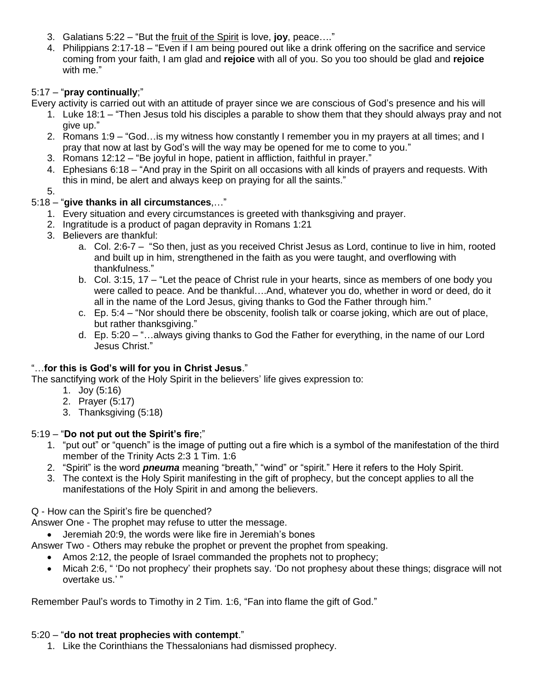- 3. Galatians 5:22 "But the fruit of the Spirit is love, **joy**, peace…."
- 4. Philippians 2:17-18 "Even if I am being poured out like a drink offering on the sacrifice and service coming from your faith, I am glad and **rejoice** with all of you. So you too should be glad and **rejoice** with me."

## 5:17 – "**pray continually**;"

Every activity is carried out with an attitude of prayer since we are conscious of God's presence and his will

- 1. Luke 18:1 "Then Jesus told his disciples a parable to show them that they should always pray and not give up."
- 2. Romans 1:9 "God…is my witness how constantly I remember you in my prayers at all times; and I pray that now at last by God's will the way may be opened for me to come to you."
- 3. Romans 12:12 "Be joyful in hope, patient in affliction, faithful in prayer."
- 4. Ephesians 6:18 "And pray in the Spirit on all occasions with all kinds of prayers and requests. With this in mind, be alert and always keep on praying for all the saints."

5.

### 5:18 – "**give thanks in all circumstances**,…"

- 1. Every situation and every circumstances is greeted with thanksgiving and prayer.
- 2. Ingratitude is a product of pagan depravity in Romans 1:21
- 3. Believers are thankful:
	- a. Col. 2:6-7 "So then, just as you received Christ Jesus as Lord, continue to live in him, rooted and built up in him, strengthened in the faith as you were taught, and overflowing with thankfulness."
	- b. Col. 3:15, 17 "Let the peace of Christ rule in your hearts, since as members of one body you were called to peace. And be thankful….And, whatever you do, whether in word or deed, do it all in the name of the Lord Jesus, giving thanks to God the Father through him."
	- c. Ep. 5:4 "Nor should there be obscenity, foolish talk or coarse joking, which are out of place, but rather thanksgiving."
	- d. Ep. 5:20 "…always giving thanks to God the Father for everything, in the name of our Lord Jesus Christ."

### "…**for this is God's will for you in Christ Jesus**."

The sanctifying work of the Holy Spirit in the believers' life gives expression to:

- 1. Joy (5:16)
- 2. Prayer (5:17)
- 3. Thanksgiving (5:18)

### 5:19 – "**Do not put out the Spirit's fire**;"

- 1. "put out" or "quench" is the image of putting out a fire which is a symbol of the manifestation of the third member of the Trinity Acts 2:3 1 Tim. 1:6
- 2. "Spirit" is the word *pneuma* meaning "breath," "wind" or "spirit." Here it refers to the Holy Spirit.
- 3. The context is the Holy Spirit manifesting in the gift of prophecy, but the concept applies to all the manifestations of the Holy Spirit in and among the believers.

### Q - How can the Spirit's fire be quenched?

Answer One - The prophet may refuse to utter the message.

Jeremiah 20:9, the words were like fire in Jeremiah's bones

Answer Two - Others may rebuke the prophet or prevent the prophet from speaking.

- Amos 2:12, the people of Israel commanded the prophets not to prophecy;
- Micah 2:6, " 'Do not prophecy' their prophets say. 'Do not prophesy about these things; disgrace will not overtake us.' "

Remember Paul's words to Timothy in 2 Tim. 1:6, "Fan into flame the gift of God."

### 5:20 – "**do not treat prophecies with contempt**."

1. Like the Corinthians the Thessalonians had dismissed prophecy.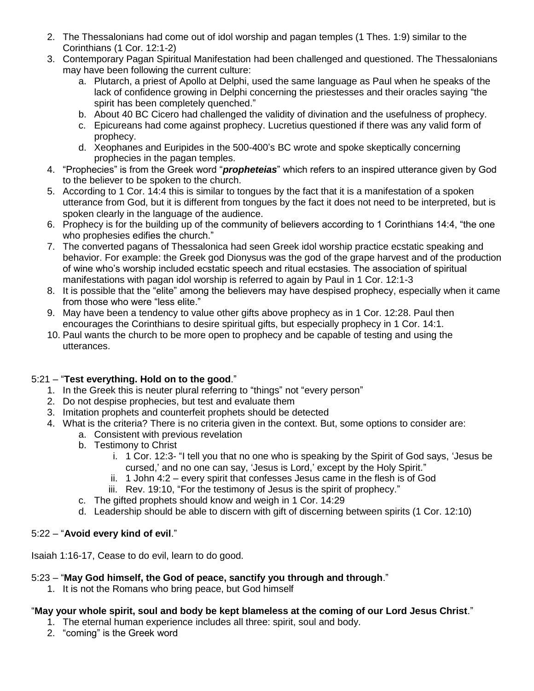- 2. The Thessalonians had come out of idol worship and pagan temples (1 Thes. 1:9) similar to the Corinthians (1 Cor. 12:1-2)
- 3. Contemporary Pagan Spiritual Manifestation had been challenged and questioned. The Thessalonians may have been following the current culture:
	- a. Plutarch, a priest of Apollo at Delphi, used the same language as Paul when he speaks of the lack of confidence growing in Delphi concerning the priestesses and their oracles saying "the spirit has been completely quenched."
	- b. About 40 BC Cicero had challenged the validity of divination and the usefulness of prophecy.
	- c. Epicureans had come against prophecy. Lucretius questioned if there was any valid form of prophecy.
	- d. Xeophanes and Euripides in the 500-400's BC wrote and spoke skeptically concerning prophecies in the pagan temples.
- 4. "Prophecies" is from the Greek word "*propheteias*" which refers to an inspired utterance given by God to the believer to be spoken to the church.
- 5. According to 1 Cor. 14:4 this is similar to tongues by the fact that it is a manifestation of a spoken utterance from God, but it is different from tongues by the fact it does not need to be interpreted, but is spoken clearly in the language of the audience.
- 6. Prophecy is for the building up of the community of believers according to 1 Corinthians 14:4, "the one who prophesies edifies the church."
- 7. The converted pagans of Thessalonica had seen Greek idol worship practice ecstatic speaking and behavior. For example: the Greek god Dionysus was the god of the grape harvest and of the production of wine who's worship included ecstatic speech and ritual ecstasies. The association of spiritual manifestations with pagan idol worship is referred to again by Paul in 1 Cor. 12:1-3
- 8. It is possible that the "elite" among the believers may have despised prophecy, especially when it came from those who were "less elite."
- 9. May have been a tendency to value other gifts above prophecy as in 1 Cor. 12:28. Paul then encourages the Corinthians to desire spiritual gifts, but especially prophecy in 1 Cor. 14:1.
- 10. Paul wants the church to be more open to prophecy and be capable of testing and using the utterances.

# 5:21 – "**Test everything. Hold on to the good**."

- 1. In the Greek this is neuter plural referring to "things" not "every person"
- 2. Do not despise prophecies, but test and evaluate them
- 3. Imitation prophets and counterfeit prophets should be detected
- 4. What is the criteria? There is no criteria given in the context. But, some options to consider are:
	- a. Consistent with previous revelation
	- b. Testimony to Christ
		- i. 1 Cor. 12:3- "I tell you that no one who is speaking by the Spirit of God says, 'Jesus be cursed,' and no one can say, 'Jesus is Lord,' except by the Holy Spirit."
		- ii. 1 John 4:2 every spirit that confesses Jesus came in the flesh is of God
		- iii. Rev. 19:10, "For the testimony of Jesus is the spirit of prophecy."
	- c. The gifted prophets should know and weigh in 1 Cor. 14:29
	- d. Leadership should be able to discern with gift of discerning between spirits (1 Cor. 12:10)

# 5:22 – "**Avoid every kind of evil**."

Isaiah 1:16-17, Cease to do evil, learn to do good.

### 5:23 – "**May God himself, the God of peace, sanctify you through and through**."

1. It is not the Romans who bring peace, but God himself

# "**May your whole spirit, soul and body be kept blameless at the coming of our Lord Jesus Christ**."

- 1. The eternal human experience includes all three: spirit, soul and body.
- 2. "coming" is the Greek word